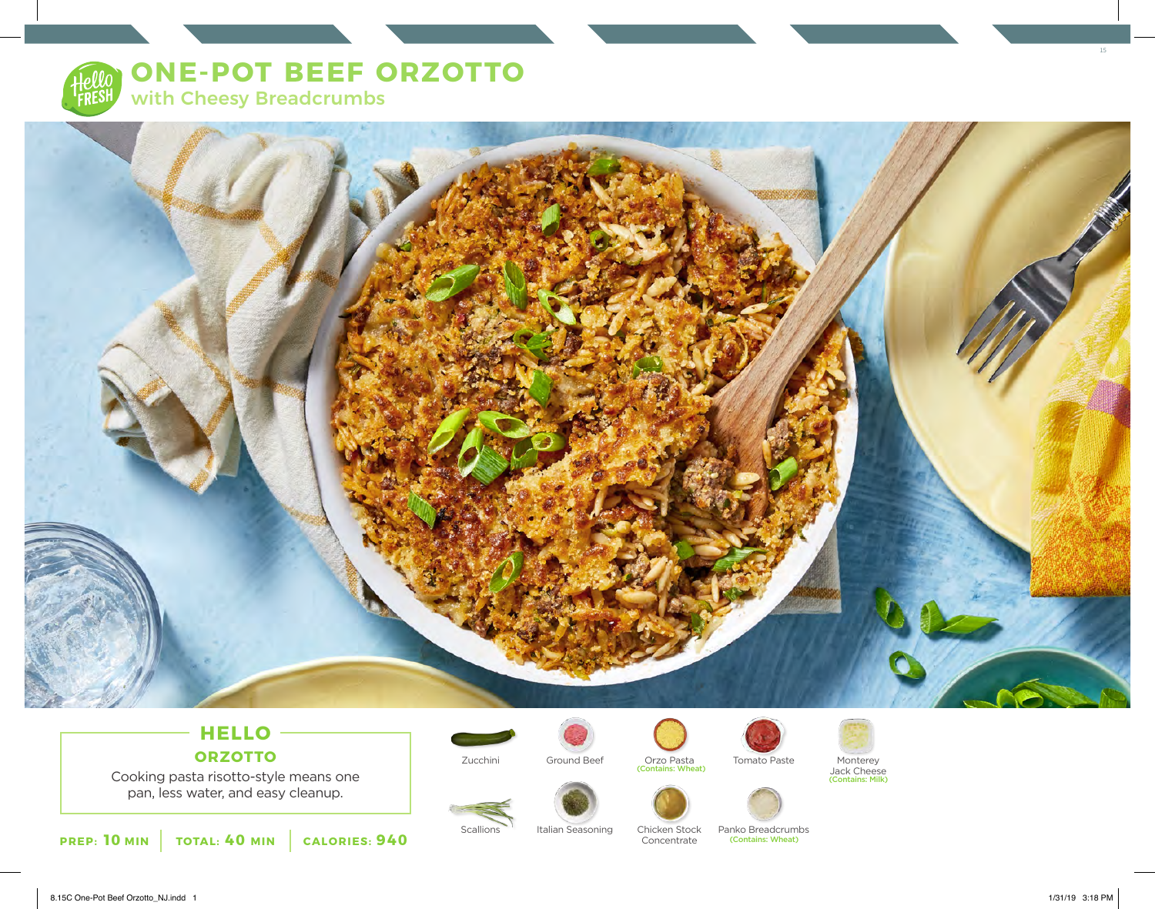



# **HELLO ORZOTTO**

Cooking pasta risotto-style means one pan, less water, and easy cleanup.

**PREP: 10 MIN TOTAL: 40 MIN CALORIES: 940**





Zucchini Ground Beef Orzo Pasta Monterey (Contains: Wheat) Tomato Paste





Scallions Italian Seasoning Chicken Stock Concentrate

Panko Breadcrumbs (Contains: Wheat)



15